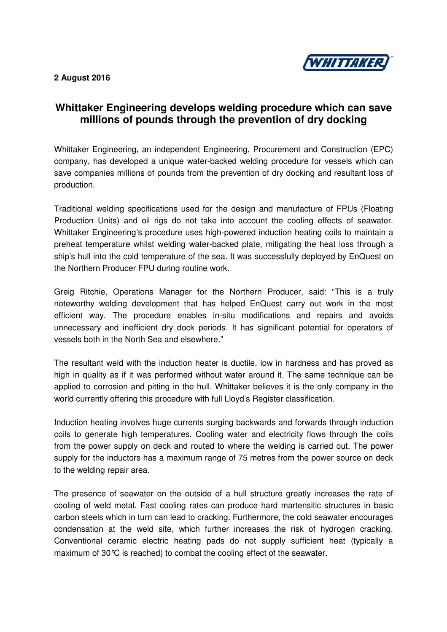

## **2 August 2016**

## **Whittaker Engineering develops welding procedure which can save millions of pounds through the prevention of dry docking**

Whittaker Engineering, an independent Engineering, Procurement and Construction (EPC) company, has developed a unique water-backed welding procedure for vessels which can save companies millions of pounds from the prevention of dry docking and resultant loss of production.

Traditional welding specifications used for the design and manufacture of FPUs (Floating Production Units) and oil rigs do not take into account the cooling effects of seawater. Whittaker Engineering's procedure uses high-powered induction heating coils to maintain a preheat temperature whilst welding water-backed plate, mitigating the heat loss through a ship's hull into the cold temperature of the sea. It was successfully deployed by EnQuest on the Northern Producer FPU during routine work.

Greig Ritchie, Operations Manager for the Northern Producer, said: "This is a truly noteworthy welding development that has helped EnQuest carry out work in the most efficient way. The procedure enables in-situ modifications and repairs and avoids unnecessary and inefficient dry dock periods. It has significant potential for operators of vessels both in the North Sea and elsewhere."

The resultant weld with the induction heater is ductile, low in hardness and has proved as high in quality as if it was performed without water around it. The same technique can be applied to corrosion and pitting in the hull. Whittaker believes it is the only company in the world currently offering this procedure with full Lloyd's Register classification.

Induction heating involves huge currents surging backwards and forwards through induction coils to generate high temperatures. Cooling water and electricity flows through the coils from the power supply on deck and routed to where the welding is carried out. The power supply for the inductors has a maximum range of 75 metres from the power source on deck to the welding repair area.

The presence of seawater on the outside of a hull structure greatly increases the rate of cooling of weld metal. Fast cooling rates can produce hard martensitic structures in basic carbon steels which in turn can lead to cracking. Furthermore, the cold seawater encourages condensation at the weld site, which further increases the risk of hydrogen cracking. Conventional ceramic electric heating pads do not supply sufficient heat (typically a maximum of 30°C is reached) to combat the cooling effect of the seawater.